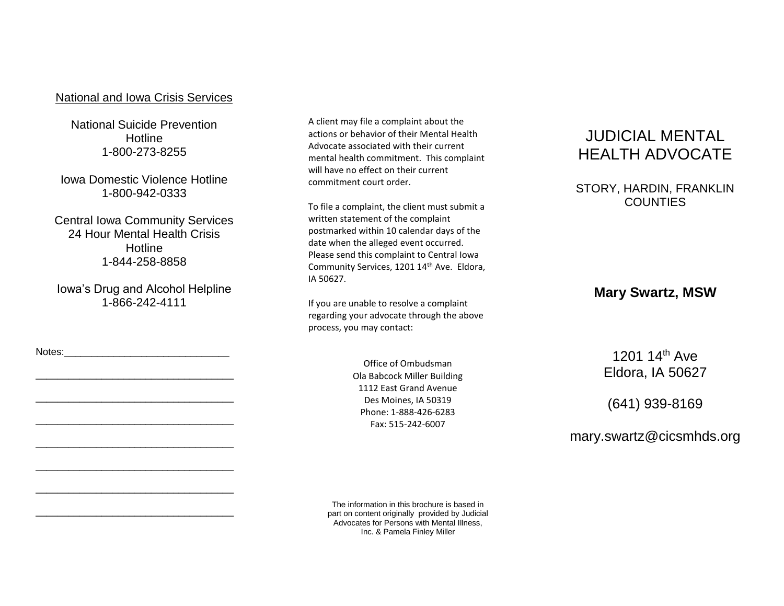### National and Iowa Crisis Services

National Suicide Prevention **Hotline** 1-800-273-8255

Iowa Domestic Violence Hotline 1-800-942-0333

Central Iowa Community Services 24 Hour Mental Health Crisis **Hotline** 1-844-258-8858

Iowa's Drug and Alcohol Helpline 1-866-242-4111

\_\_\_\_\_\_\_\_\_\_\_\_\_\_\_\_\_\_\_\_\_\_\_\_\_\_\_\_\_\_\_\_\_\_\_\_

\_\_\_\_\_\_\_\_\_\_\_\_\_\_\_\_\_\_\_\_\_\_\_\_\_\_\_\_\_\_\_\_\_\_\_\_

\_\_\_\_\_\_\_\_\_\_\_\_\_\_\_\_\_\_\_\_\_\_\_\_\_\_\_\_\_\_\_\_\_\_\_\_

\_\_\_\_\_\_\_\_\_\_\_\_\_\_\_\_\_\_\_\_\_\_\_\_\_\_\_\_\_\_\_\_\_\_\_\_

\_\_\_\_\_\_\_\_\_\_\_\_\_\_\_\_\_\_\_\_\_\_\_\_\_\_\_\_\_\_\_\_\_\_\_\_

\_\_\_\_\_\_\_\_\_\_\_\_\_\_\_\_\_\_\_\_\_\_\_\_\_\_\_\_\_\_\_\_\_\_\_\_

\_\_\_\_\_\_\_\_\_\_\_\_\_\_\_\_\_\_\_\_\_\_\_\_\_\_\_\_\_\_\_\_\_\_\_\_

Notes:

A client may file a complaint about the actions or behavior of their Mental Health Advocate associated with their current mental health commitment. This complaint will have no effect on their current commitment court order.

To file a complaint, the client must submit a written statement of the complaint postmarked within 10 calendar days of the date when the alleged event occurred. Please send this complaint to Central Iowa Community Services, 1201 14th Ave. Eldora, IA 50627.

If you are unable to resolve a complaint regarding your advocate through the above process, you may contact:

> Office of Ombudsman Ola Babcock Miller Building 1112 East Grand Avenue Des Moines, IA 50319 Phone: 1-888-426-6283 Fax: 515-242-6007

The information in this brochure is based in part on content originally provided by Judicial Advocates for Persons with Mental Illness, Inc. & Pamela Finley Miller

# JUDICIAL MENTAL HEALTH ADVOCATE

STORY, HARDIN, FRANKLIN COUNTIES

### **Mary Swartz, MSW**

1201 14th Ave Eldora, IA 50627

(641) 939-8169

mary.swartz@cicsmhds.org